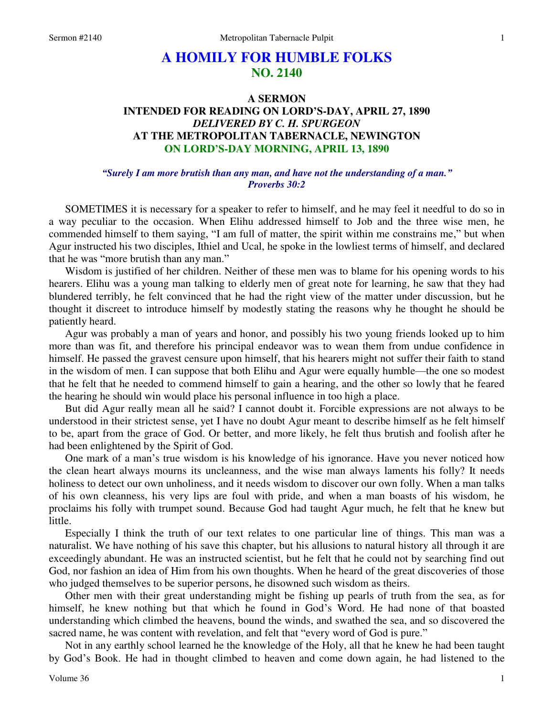# **A HOMILY FOR HUMBLE FOLKS NO. 2140**

## **A SERMON INTENDED FOR READING ON LORD'S-DAY, APRIL 27, 1890**  *DELIVERED BY C. H. SPURGEON*  **AT THE METROPOLITAN TABERNACLE, NEWINGTON ON LORD'S-DAY MORNING, APRIL 13, 1890**

### *"Surely I am more brutish than any man, and have not the understanding of a man." Proverbs 30:2*

 SOMETIMES it is necessary for a speaker to refer to himself, and he may feel it needful to do so in a way peculiar to the occasion. When Elihu addressed himself to Job and the three wise men, he commended himself to them saying, "I am full of matter, the spirit within me constrains me," but when Agur instructed his two disciples, Ithiel and Ucal, he spoke in the lowliest terms of himself, and declared that he was "more brutish than any man."

 Wisdom is justified of her children. Neither of these men was to blame for his opening words to his hearers. Elihu was a young man talking to elderly men of great note for learning, he saw that they had blundered terribly, he felt convinced that he had the right view of the matter under discussion, but he thought it discreet to introduce himself by modestly stating the reasons why he thought he should be patiently heard.

 Agur was probably a man of years and honor, and possibly his two young friends looked up to him more than was fit, and therefore his principal endeavor was to wean them from undue confidence in himself. He passed the gravest censure upon himself, that his hearers might not suffer their faith to stand in the wisdom of men. I can suppose that both Elihu and Agur were equally humble—the one so modest that he felt that he needed to commend himself to gain a hearing, and the other so lowly that he feared the hearing he should win would place his personal influence in too high a place.

 But did Agur really mean all he said? I cannot doubt it. Forcible expressions are not always to be understood in their strictest sense, yet I have no doubt Agur meant to describe himself as he felt himself to be, apart from the grace of God. Or better, and more likely, he felt thus brutish and foolish after he had been enlightened by the Spirit of God.

 One mark of a man's true wisdom is his knowledge of his ignorance. Have you never noticed how the clean heart always mourns its uncleanness, and the wise man always laments his folly? It needs holiness to detect our own unholiness, and it needs wisdom to discover our own folly. When a man talks of his own cleanness, his very lips are foul with pride, and when a man boasts of his wisdom, he proclaims his folly with trumpet sound. Because God had taught Agur much, he felt that he knew but little.

 Especially I think the truth of our text relates to one particular line of things. This man was a naturalist. We have nothing of his save this chapter, but his allusions to natural history all through it are exceedingly abundant. He was an instructed scientist, but he felt that he could not by searching find out God, nor fashion an idea of Him from his own thoughts. When he heard of the great discoveries of those who judged themselves to be superior persons, he disowned such wisdom as theirs.

 Other men with their great understanding might be fishing up pearls of truth from the sea, as for himself, he knew nothing but that which he found in God's Word. He had none of that boasted understanding which climbed the heavens, bound the winds, and swathed the sea, and so discovered the sacred name, he was content with revelation, and felt that "every word of God is pure."

 Not in any earthly school learned he the knowledge of the Holy, all that he knew he had been taught by God's Book. He had in thought climbed to heaven and come down again, he had listened to the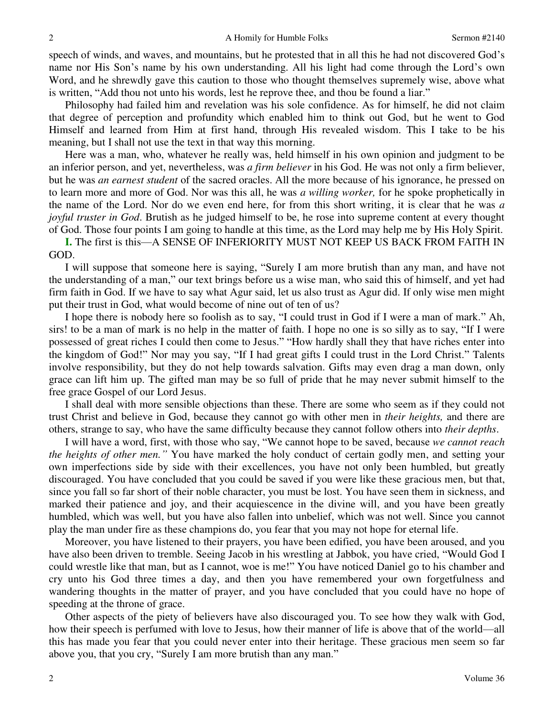speech of winds, and waves, and mountains, but he protested that in all this he had not discovered God's name nor His Son's name by his own understanding. All his light had come through the Lord's own Word, and he shrewdly gave this caution to those who thought themselves supremely wise, above what is written, "Add thou not unto his words, lest he reprove thee, and thou be found a liar."

 Philosophy had failed him and revelation was his sole confidence. As for himself, he did not claim that degree of perception and profundity which enabled him to think out God, but he went to God Himself and learned from Him at first hand, through His revealed wisdom. This I take to be his meaning, but I shall not use the text in that way this morning.

 Here was a man, who, whatever he really was, held himself in his own opinion and judgment to be an inferior person, and yet, nevertheless, was *a firm believer* in his God. He was not only a firm believer, but he was *an earnest student* of the sacred oracles. All the more because of his ignorance, he pressed on to learn more and more of God. Nor was this all, he was *a willing worker,* for he spoke prophetically in the name of the Lord. Nor do we even end here, for from this short writing, it is clear that he was *a joyful truster in God*. Brutish as he judged himself to be, he rose into supreme content at every thought of God. Those four points I am going to handle at this time, as the Lord may help me by His Holy Spirit.

**I.** The first is this—A SENSE OF INFERIORITY MUST NOT KEEP US BACK FROM FAITH IN GOD.

 I will suppose that someone here is saying, "Surely I am more brutish than any man, and have not the understanding of a man," our text brings before us a wise man, who said this of himself, and yet had firm faith in God. If we have to say what Agur said, let us also trust as Agur did. If only wise men might put their trust in God, what would become of nine out of ten of us?

 I hope there is nobody here so foolish as to say, "I could trust in God if I were a man of mark." Ah, sirs! to be a man of mark is no help in the matter of faith. I hope no one is so silly as to say, "If I were possessed of great riches I could then come to Jesus." "How hardly shall they that have riches enter into the kingdom of God!" Nor may you say, "If I had great gifts I could trust in the Lord Christ." Talents involve responsibility, but they do not help towards salvation. Gifts may even drag a man down, only grace can lift him up. The gifted man may be so full of pride that he may never submit himself to the free grace Gospel of our Lord Jesus.

 I shall deal with more sensible objections than these. There are some who seem as if they could not trust Christ and believe in God, because they cannot go with other men in *their heights,* and there are others, strange to say, who have the same difficulty because they cannot follow others into *their depths*.

 I will have a word, first, with those who say, "We cannot hope to be saved, because *we cannot reach the heights of other men."* You have marked the holy conduct of certain godly men, and setting your own imperfections side by side with their excellences, you have not only been humbled, but greatly discouraged. You have concluded that you could be saved if you were like these gracious men, but that, since you fall so far short of their noble character, you must be lost. You have seen them in sickness, and marked their patience and joy, and their acquiescence in the divine will, and you have been greatly humbled, which was well, but you have also fallen into unbelief, which was not well. Since you cannot play the man under fire as these champions do, you fear that you may not hope for eternal life.

 Moreover, you have listened to their prayers, you have been edified, you have been aroused, and you have also been driven to tremble. Seeing Jacob in his wrestling at Jabbok, you have cried, "Would God I could wrestle like that man, but as I cannot, woe is me!" You have noticed Daniel go to his chamber and cry unto his God three times a day, and then you have remembered your own forgetfulness and wandering thoughts in the matter of prayer, and you have concluded that you could have no hope of speeding at the throne of grace.

 Other aspects of the piety of believers have also discouraged you. To see how they walk with God, how their speech is perfumed with love to Jesus, how their manner of life is above that of the world—all this has made you fear that you could never enter into their heritage. These gracious men seem so far above you, that you cry, "Surely I am more brutish than any man."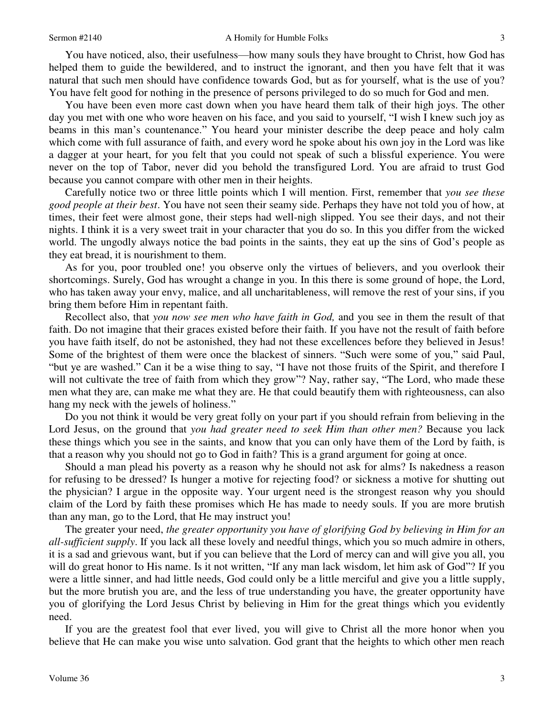#### Sermon #2140 A Homily for Humble Folks

 You have noticed, also, their usefulness—how many souls they have brought to Christ, how God has helped them to guide the bewildered, and to instruct the ignorant, and then you have felt that it was natural that such men should have confidence towards God, but as for yourself, what is the use of you? You have felt good for nothing in the presence of persons privileged to do so much for God and men.

 You have been even more cast down when you have heard them talk of their high joys. The other day you met with one who wore heaven on his face, and you said to yourself, "I wish I knew such joy as beams in this man's countenance." You heard your minister describe the deep peace and holy calm which come with full assurance of faith, and every word he spoke about his own joy in the Lord was like a dagger at your heart, for you felt that you could not speak of such a blissful experience. You were never on the top of Tabor, never did you behold the transfigured Lord. You are afraid to trust God because you cannot compare with other men in their heights.

 Carefully notice two or three little points which I will mention. First, remember that *you see these good people at their best*. You have not seen their seamy side. Perhaps they have not told you of how, at times, their feet were almost gone, their steps had well-nigh slipped. You see their days, and not their nights. I think it is a very sweet trait in your character that you do so. In this you differ from the wicked world. The ungodly always notice the bad points in the saints, they eat up the sins of God's people as they eat bread, it is nourishment to them.

 As for you, poor troubled one! you observe only the virtues of believers, and you overlook their shortcomings. Surely, God has wrought a change in you. In this there is some ground of hope, the Lord, who has taken away your envy, malice, and all uncharitableness, will remove the rest of your sins, if you bring them before Him in repentant faith.

 Recollect also, that *you now see men who have faith in God,* and you see in them the result of that faith. Do not imagine that their graces existed before their faith. If you have not the result of faith before you have faith itself, do not be astonished, they had not these excellences before they believed in Jesus! Some of the brightest of them were once the blackest of sinners. "Such were some of you," said Paul, "but ye are washed." Can it be a wise thing to say, "I have not those fruits of the Spirit, and therefore I will not cultivate the tree of faith from which they grow"? Nay, rather say, "The Lord, who made these men what they are, can make me what they are. He that could beautify them with righteousness, can also hang my neck with the jewels of holiness."

 Do you not think it would be very great folly on your part if you should refrain from believing in the Lord Jesus, on the ground that *you had greater need to seek Him than other men?* Because you lack these things which you see in the saints, and know that you can only have them of the Lord by faith, is that a reason why you should not go to God in faith? This is a grand argument for going at once.

 Should a man plead his poverty as a reason why he should not ask for alms? Is nakedness a reason for refusing to be dressed? Is hunger a motive for rejecting food? or sickness a motive for shutting out the physician? I argue in the opposite way. Your urgent need is the strongest reason why you should claim of the Lord by faith these promises which He has made to needy souls. If you are more brutish than any man, go to the Lord, that He may instruct you!

 The greater your need, *the greater opportunity you have of glorifying God by believing in Him for an all-sufficient supply*. If you lack all these lovely and needful things, which you so much admire in others, it is a sad and grievous want, but if you can believe that the Lord of mercy can and will give you all, you will do great honor to His name. Is it not written, "If any man lack wisdom, let him ask of God"? If you were a little sinner, and had little needs, God could only be a little merciful and give you a little supply, but the more brutish you are, and the less of true understanding you have, the greater opportunity have you of glorifying the Lord Jesus Christ by believing in Him for the great things which you evidently need.

 If you are the greatest fool that ever lived, you will give to Christ all the more honor when you believe that He can make you wise unto salvation. God grant that the heights to which other men reach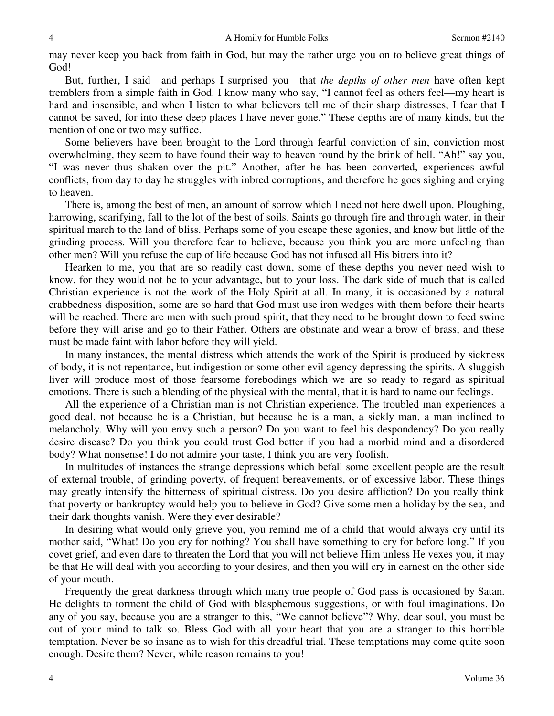may never keep you back from faith in God, but may the rather urge you on to believe great things of God!

 But, further, I said—and perhaps I surprised you—that *the depths of other men* have often kept tremblers from a simple faith in God. I know many who say, "I cannot feel as others feel—my heart is hard and insensible, and when I listen to what believers tell me of their sharp distresses, I fear that I cannot be saved, for into these deep places I have never gone." These depths are of many kinds, but the mention of one or two may suffice.

 Some believers have been brought to the Lord through fearful conviction of sin, conviction most overwhelming, they seem to have found their way to heaven round by the brink of hell. "Ah!" say you, "I was never thus shaken over the pit." Another, after he has been converted, experiences awful conflicts, from day to day he struggles with inbred corruptions, and therefore he goes sighing and crying to heaven.

 There is, among the best of men, an amount of sorrow which I need not here dwell upon. Ploughing, harrowing, scarifying, fall to the lot of the best of soils. Saints go through fire and through water, in their spiritual march to the land of bliss. Perhaps some of you escape these agonies, and know but little of the grinding process. Will you therefore fear to believe, because you think you are more unfeeling than other men? Will you refuse the cup of life because God has not infused all His bitters into it?

 Hearken to me, you that are so readily cast down, some of these depths you never need wish to know, for they would not be to your advantage, but to your loss. The dark side of much that is called Christian experience is not the work of the Holy Spirit at all. In many, it is occasioned by a natural crabbedness disposition, some are so hard that God must use iron wedges with them before their hearts will be reached. There are men with such proud spirit, that they need to be brought down to feed swine before they will arise and go to their Father. Others are obstinate and wear a brow of brass, and these must be made faint with labor before they will yield.

 In many instances, the mental distress which attends the work of the Spirit is produced by sickness of body, it is not repentance, but indigestion or some other evil agency depressing the spirits. A sluggish liver will produce most of those fearsome forebodings which we are so ready to regard as spiritual emotions. There is such a blending of the physical with the mental, that it is hard to name our feelings.

 All the experience of a Christian man is not Christian experience. The troubled man experiences a good deal, not because he is a Christian, but because he is a man, a sickly man, a man inclined to melancholy. Why will you envy such a person? Do you want to feel his despondency? Do you really desire disease? Do you think you could trust God better if you had a morbid mind and a disordered body? What nonsense! I do not admire your taste, I think you are very foolish.

 In multitudes of instances the strange depressions which befall some excellent people are the result of external trouble, of grinding poverty, of frequent bereavements, or of excessive labor. These things may greatly intensify the bitterness of spiritual distress. Do you desire affliction? Do you really think that poverty or bankruptcy would help you to believe in God? Give some men a holiday by the sea, and their dark thoughts vanish. Were they ever desirable?

 In desiring what would only grieve you, you remind me of a child that would always cry until its mother said, "What! Do you cry for nothing? You shall have something to cry for before long." If you covet grief, and even dare to threaten the Lord that you will not believe Him unless He vexes you, it may be that He will deal with you according to your desires, and then you will cry in earnest on the other side of your mouth.

 Frequently the great darkness through which many true people of God pass is occasioned by Satan. He delights to torment the child of God with blasphemous suggestions, or with foul imaginations. Do any of you say, because you are a stranger to this, "We cannot believe"? Why, dear soul, you must be out of your mind to talk so. Bless God with all your heart that you are a stranger to this horrible temptation. Never be so insane as to wish for this dreadful trial. These temptations may come quite soon enough. Desire them? Never, while reason remains to you!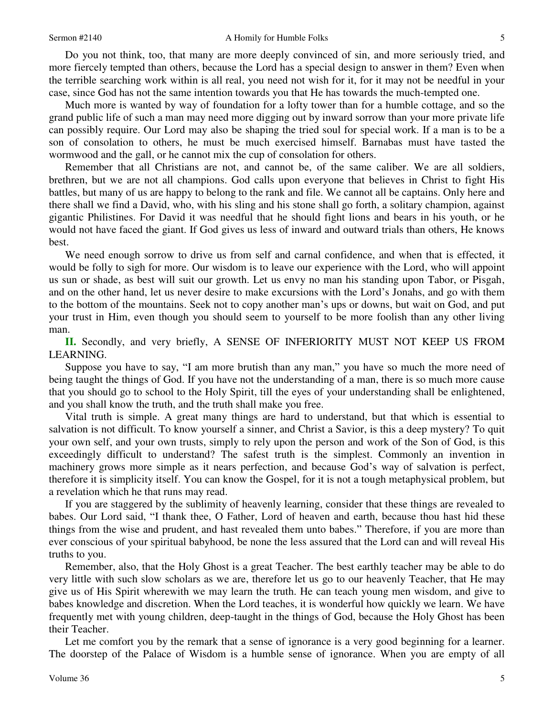#### Sermon #2140 A Homily for Humble Folks

 Do you not think, too, that many are more deeply convinced of sin, and more seriously tried, and more fiercely tempted than others, because the Lord has a special design to answer in them? Even when the terrible searching work within is all real, you need not wish for it, for it may not be needful in your case, since God has not the same intention towards you that He has towards the much-tempted one.

 Much more is wanted by way of foundation for a lofty tower than for a humble cottage, and so the grand public life of such a man may need more digging out by inward sorrow than your more private life can possibly require. Our Lord may also be shaping the tried soul for special work. If a man is to be a son of consolation to others, he must be much exercised himself. Barnabas must have tasted the wormwood and the gall, or he cannot mix the cup of consolation for others.

 Remember that all Christians are not, and cannot be, of the same caliber. We are all soldiers, brethren, but we are not all champions. God calls upon everyone that believes in Christ to fight His battles, but many of us are happy to belong to the rank and file. We cannot all be captains. Only here and there shall we find a David, who, with his sling and his stone shall go forth, a solitary champion, against gigantic Philistines. For David it was needful that he should fight lions and bears in his youth, or he would not have faced the giant. If God gives us less of inward and outward trials than others, He knows best.

 We need enough sorrow to drive us from self and carnal confidence, and when that is effected, it would be folly to sigh for more. Our wisdom is to leave our experience with the Lord, who will appoint us sun or shade, as best will suit our growth. Let us envy no man his standing upon Tabor, or Pisgah, and on the other hand, let us never desire to make excursions with the Lord's Jonahs, and go with them to the bottom of the mountains. Seek not to copy another man's ups or downs, but wait on God, and put your trust in Him, even though you should seem to yourself to be more foolish than any other living man.

**II.** Secondly, and very briefly, A SENSE OF INFERIORITY MUST NOT KEEP US FROM LEARNING.

 Suppose you have to say, "I am more brutish than any man," you have so much the more need of being taught the things of God. If you have not the understanding of a man, there is so much more cause that you should go to school to the Holy Spirit, till the eyes of your understanding shall be enlightened, and you shall know the truth, and the truth shall make you free.

 Vital truth is simple. A great many things are hard to understand, but that which is essential to salvation is not difficult. To know yourself a sinner, and Christ a Savior, is this a deep mystery? To quit your own self, and your own trusts, simply to rely upon the person and work of the Son of God, is this exceedingly difficult to understand? The safest truth is the simplest. Commonly an invention in machinery grows more simple as it nears perfection, and because God's way of salvation is perfect, therefore it is simplicity itself. You can know the Gospel, for it is not a tough metaphysical problem, but a revelation which he that runs may read.

 If you are staggered by the sublimity of heavenly learning, consider that these things are revealed to babes. Our Lord said, "I thank thee, O Father, Lord of heaven and earth, because thou hast hid these things from the wise and prudent, and hast revealed them unto babes." Therefore, if you are more than ever conscious of your spiritual babyhood, be none the less assured that the Lord can and will reveal His truths to you.

 Remember, also, that the Holy Ghost is a great Teacher. The best earthly teacher may be able to do very little with such slow scholars as we are, therefore let us go to our heavenly Teacher, that He may give us of His Spirit wherewith we may learn the truth. He can teach young men wisdom, and give to babes knowledge and discretion. When the Lord teaches, it is wonderful how quickly we learn. We have frequently met with young children, deep-taught in the things of God, because the Holy Ghost has been their Teacher.

Let me comfort you by the remark that a sense of ignorance is a very good beginning for a learner. The doorstep of the Palace of Wisdom is a humble sense of ignorance. When you are empty of all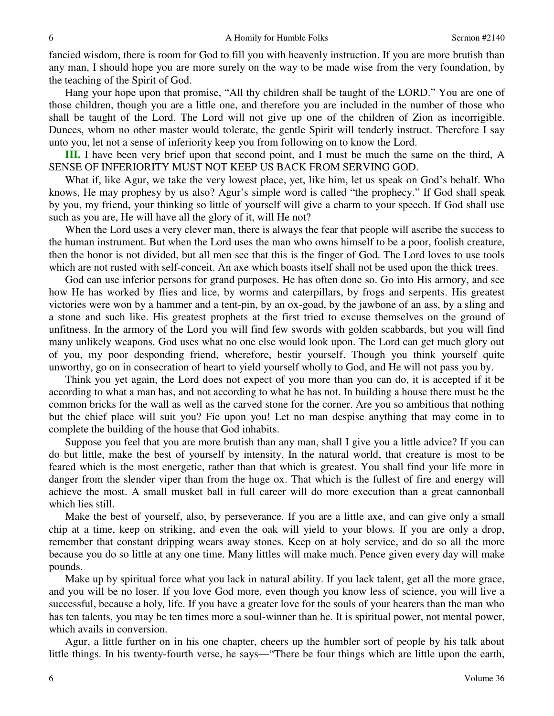fancied wisdom, there is room for God to fill you with heavenly instruction. If you are more brutish than any man, I should hope you are more surely on the way to be made wise from the very foundation, by the teaching of the Spirit of God.

Hang your hope upon that promise, "All thy children shall be taught of the LORD." You are one of those children, though you are a little one, and therefore you are included in the number of those who shall be taught of the Lord. The Lord will not give up one of the children of Zion as incorrigible. Dunces, whom no other master would tolerate, the gentle Spirit will tenderly instruct. Therefore I say unto you, let not a sense of inferiority keep you from following on to know the Lord.

**III.** I have been very brief upon that second point, and I must be much the same on the third, A SENSE OF INFERIORITY MUST NOT KEEP US BACK FROM SERVING GOD.

 What if, like Agur, we take the very lowest place, yet, like him, let us speak on God's behalf. Who knows, He may prophesy by us also? Agur's simple word is called "the prophecy." If God shall speak by you, my friend, your thinking so little of yourself will give a charm to your speech. If God shall use such as you are, He will have all the glory of it, will He not?

 When the Lord uses a very clever man, there is always the fear that people will ascribe the success to the human instrument. But when the Lord uses the man who owns himself to be a poor, foolish creature, then the honor is not divided, but all men see that this is the finger of God. The Lord loves to use tools which are not rusted with self-conceit. An axe which boasts itself shall not be used upon the thick trees.

 God can use inferior persons for grand purposes. He has often done so. Go into His armory, and see how He has worked by flies and lice, by worms and caterpillars, by frogs and serpents. His greatest victories were won by a hammer and a tent-pin, by an ox-goad, by the jawbone of an ass, by a sling and a stone and such like. His greatest prophets at the first tried to excuse themselves on the ground of unfitness. In the armory of the Lord you will find few swords with golden scabbards, but you will find many unlikely weapons. God uses what no one else would look upon. The Lord can get much glory out of you, my poor desponding friend, wherefore, bestir yourself. Though you think yourself quite unworthy, go on in consecration of heart to yield yourself wholly to God, and He will not pass you by.

 Think you yet again, the Lord does not expect of you more than you can do, it is accepted if it be according to what a man has, and not according to what he has not. In building a house there must be the common bricks for the wall as well as the carved stone for the corner. Are you so ambitious that nothing but the chief place will suit you? Fie upon you! Let no man despise anything that may come in to complete the building of the house that God inhabits.

 Suppose you feel that you are more brutish than any man, shall I give you a little advice? If you can do but little, make the best of yourself by intensity. In the natural world, that creature is most to be feared which is the most energetic, rather than that which is greatest. You shall find your life more in danger from the slender viper than from the huge ox. That which is the fullest of fire and energy will achieve the most. A small musket ball in full career will do more execution than a great cannonball which lies still.

 Make the best of yourself, also, by perseverance. If you are a little axe, and can give only a small chip at a time, keep on striking, and even the oak will yield to your blows. If you are only a drop, remember that constant dripping wears away stones. Keep on at holy service, and do so all the more because you do so little at any one time. Many littles will make much. Pence given every day will make pounds.

 Make up by spiritual force what you lack in natural ability. If you lack talent, get all the more grace, and you will be no loser. If you love God more, even though you know less of science, you will live a successful, because a holy*,* life. If you have a greater love for the souls of your hearers than the man who has ten talents, you may be ten times more a soul-winner than he. It is spiritual power, not mental power, which avails in conversion.

 Agur, a little further on in his one chapter, cheers up the humbler sort of people by his talk about little things. In his twenty-fourth verse, he says—"There be four things which are little upon the earth,

6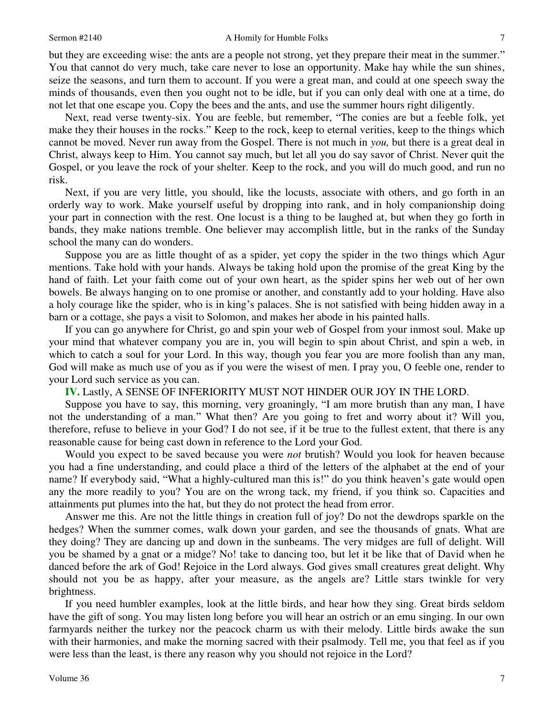but they are exceeding wise: the ants are a people not strong, yet they prepare their meat in the summer." You that cannot do very much, take care never to lose an opportunity. Make hay while the sun shines, seize the seasons, and turn them to account. If you were a great man, and could at one speech sway the minds of thousands, even then you ought not to be idle, but if you can only deal with one at a time, do not let that one escape you. Copy the bees and the ants, and use the summer hours right diligently.

 Next, read verse twenty-six. You are feeble, but remember, "The conies are but a feeble folk, yet make they their houses in the rocks." Keep to the rock, keep to eternal verities, keep to the things which cannot be moved. Never run away from the Gospel. There is not much in *you,* but there is a great deal in Christ, always keep to Him. You cannot say much, but let all you do say savor of Christ. Never quit the Gospel, or you leave the rock of your shelter. Keep to the rock, and you will do much good, and run no risk.

 Next, if you are very little, you should, like the locusts, associate with others, and go forth in an orderly way to work. Make yourself useful by dropping into rank, and in holy companionship doing your part in connection with the rest. One locust is a thing to be laughed at, but when they go forth in bands, they make nations tremble. One believer may accomplish little, but in the ranks of the Sunday school the many can do wonders.

 Suppose you are as little thought of as a spider, yet copy the spider in the two things which Agur mentions. Take hold with your hands. Always be taking hold upon the promise of the great King by the hand of faith. Let your faith come out of your own heart, as the spider spins her web out of her own bowels. Be always hanging on to one promise or another, and constantly add to your holding. Have also a holy courage like the spider, who is in king's palaces. She is not satisfied with being hidden away in a barn or a cottage, she pays a visit to Solomon, and makes her abode in his painted halls.

 If you can go anywhere for Christ, go and spin your web of Gospel from your inmost soul. Make up your mind that whatever company you are in, you will begin to spin about Christ, and spin a web, in which to catch a soul for your Lord. In this way, though you fear you are more foolish than any man, God will make as much use of you as if you were the wisest of men. I pray you, O feeble one, render to your Lord such service as you can.

**IV.** Lastly, A SENSE OF INFERIORITY MUST NOT HINDER OUR JOY IN THE LORD.

 Suppose you have to say, this morning, very groaningly, "I am more brutish than any man, I have not the understanding of a man." What then? Are you going to fret and worry about it? Will you, therefore, refuse to believe in your God? I do not see, if it be true to the fullest extent, that there is any reasonable cause for being cast down in reference to the Lord your God.

 Would you expect to be saved because you were *not* brutish? Would you look for heaven because you had a fine understanding, and could place a third of the letters of the alphabet at the end of your name? If everybody said, "What a highly-cultured man this is!" do you think heaven's gate would open any the more readily to you? You are on the wrong tack, my friend, if you think so. Capacities and attainments put plumes into the hat, but they do not protect the head from error.

 Answer me this. Are not the little things in creation full of joy? Do not the dewdrops sparkle on the hedges? When the summer comes, walk down your garden, and see the thousands of gnats. What are they doing? They are dancing up and down in the sunbeams. The very midges are full of delight. Will you be shamed by a gnat or a midge? No! take to dancing too, but let it be like that of David when he danced before the ark of God! Rejoice in the Lord always. God gives small creatures great delight. Why should not you be as happy, after your measure, as the angels are? Little stars twinkle for very brightness.

 If you need humbler examples, look at the little birds, and hear how they sing. Great birds seldom have the gift of song. You may listen long before you will hear an ostrich or an emu singing. In our own farmyards neither the turkey nor the peacock charm us with their melody. Little birds awake the sun with their harmonies, and make the morning sacred with their psalmody. Tell me, you that feel as if you were less than the least, is there any reason why you should not rejoice in the Lord?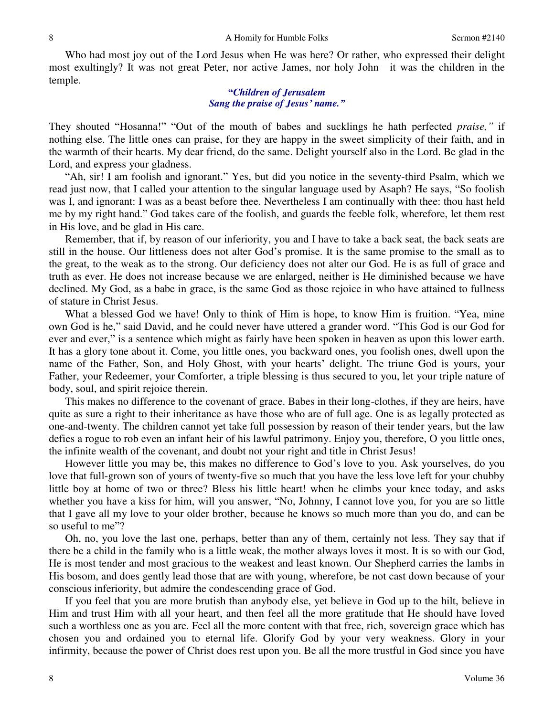Who had most joy out of the Lord Jesus when He was here? Or rather, who expressed their delight most exultingly? It was not great Peter, nor active James, nor holy John—it was the children in the temple.

### **"***Children of Jerusalem Sang the praise of Jesus' name."*

They shouted "Hosanna!" "Out of the mouth of babes and sucklings he hath perfected *praise,"* if nothing else. The little ones can praise, for they are happy in the sweet simplicity of their faith, and in the warmth of their hearts. My dear friend, do the same. Delight yourself also in the Lord. Be glad in the Lord, and express your gladness.

"Ah, sir! I am foolish and ignorant." Yes, but did you notice in the seventy-third Psalm, which we read just now, that I called your attention to the singular language used by Asaph? He says, "So foolish was I, and ignorant: I was as a beast before thee. Nevertheless I am continually with thee: thou hast held me by my right hand." God takes care of the foolish, and guards the feeble folk, wherefore, let them rest in His love, and be glad in His care.

 Remember, that if, by reason of our inferiority, you and I have to take a back seat, the back seats are still in the house. Our littleness does not alter God's promise. It is the same promise to the small as to the great, to the weak as to the strong. Our deficiency does not alter our God. He is as full of grace and truth as ever. He does not increase because we are enlarged, neither is He diminished because we have declined. My God, as a babe in grace, is the same God as those rejoice in who have attained to fullness of stature in Christ Jesus.

What a blessed God we have! Only to think of Him is hope, to know Him is fruition. "Yea, mine own God is he," said David, and he could never have uttered a grander word. "This God is our God for ever and ever," is a sentence which might as fairly have been spoken in heaven as upon this lower earth. It has a glory tone about it. Come, you little ones, you backward ones, you foolish ones, dwell upon the name of the Father, Son, and Holy Ghost, with your hearts' delight. The triune God is yours, your Father, your Redeemer, your Comforter, a triple blessing is thus secured to you, let your triple nature of body, soul, and spirit rejoice therein.

 This makes no difference to the covenant of grace. Babes in their long-clothes, if they are heirs, have quite as sure a right to their inheritance as have those who are of full age. One is as legally protected as one-and-twenty. The children cannot yet take full possession by reason of their tender years, but the law defies a rogue to rob even an infant heir of his lawful patrimony. Enjoy you, therefore, O you little ones, the infinite wealth of the covenant, and doubt not your right and title in Christ Jesus!

 However little you may be, this makes no difference to God's love to you. Ask yourselves, do you love that full-grown son of yours of twenty-five so much that you have the less love left for your chubby little boy at home of two or three? Bless his little heart! when he climbs your knee today, and asks whether you have a kiss for him, will you answer, "No, Johnny, I cannot love you, for you are so little that I gave all my love to your older brother, because he knows so much more than you do, and can be so useful to me"?

 Oh, no, you love the last one, perhaps, better than any of them, certainly not less. They say that if there be a child in the family who is a little weak, the mother always loves it most. It is so with our God, He is most tender and most gracious to the weakest and least known. Our Shepherd carries the lambs in His bosom, and does gently lead those that are with young, wherefore, be not cast down because of your conscious inferiority, but admire the condescending grace of God.

 If you feel that you are more brutish than anybody else, yet believe in God up to the hilt, believe in Him and trust Him with all your heart, and then feel all the more gratitude that He should have loved such a worthless one as you are. Feel all the more content with that free, rich, sovereign grace which has chosen you and ordained you to eternal life. Glorify God by your very weakness. Glory in your infirmity, because the power of Christ does rest upon you. Be all the more trustful in God since you have